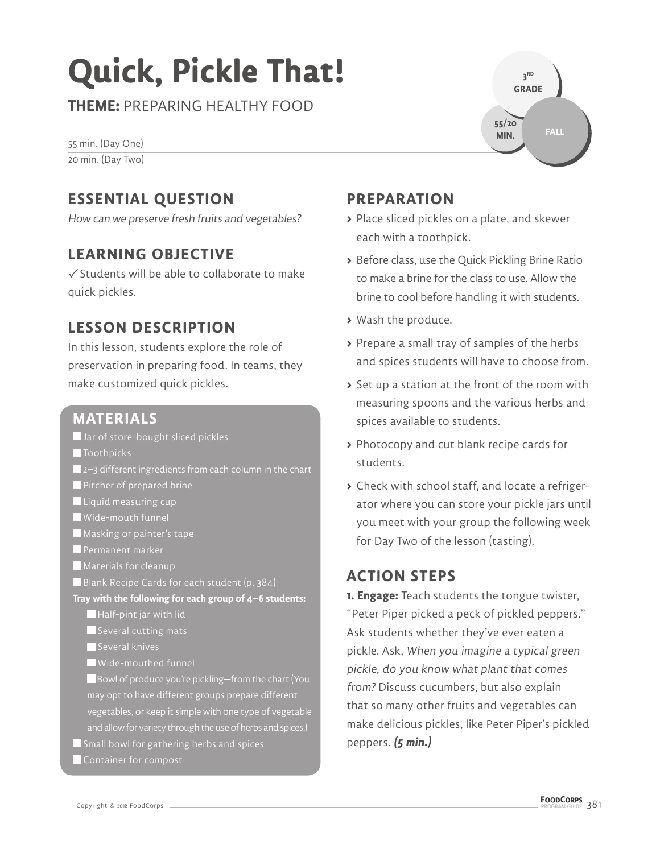# **Quick, Pickle That!**

**THEME:** PREPARING HEALTHY FOOD

55 min. (Day One) 20 min. (Day Two)

### **ESSENTIAL QUESTION**

How can we preserve fresh fruits and vegetables?

### **LEARNING OBJECTIVE**

 $\checkmark$  Students will be able to collaborate to make quick pickles.

### **LESSON DESCRIPTION**

In this lesson, students explore the role of preservation in preparing food. In teams, they make customized quick pickles.

### **MATERIALS**

Jar of store-bought sliced pickles

- **T**oothpicks
- 2–3 different ingredients from each column in the chart
- Pitcher of prepared brine
- **Liquid measuring cup**
- Wide-mouth funnel
- Masking or painter's tape
- **Permanent marker**
- **Materials for cleanup**
- Blank Recipe Cards for each student (p. 384)

**Tray with the following for each group of 4–6 students:**

- $\blacksquare$  Half-pint jar with lid
- Several cutting mats

Several knives

- Wide-mouthed funnel
- Bowl of produce you're pickling–from the chart (You may opt to have different groups prepare different vegetables, or keep it simple with one type of vegetable and allow for variety through the use of herbs and spices.)
- $\blacksquare$  Small bowl for gathering herbs and spices
- Container for compost



### **PREPARATION**

- **>** Place sliced pickles on a plate, and skewer each with a toothpick.
- **>** Before class, use the Quick Pickling Brine Ratio to make a brine for the class to use. Allow the brine to cool before handling it with students.
- **>** Wash the produce.
- **>** Prepare a small tray of samples of the herbs and spices students will have to choose from.
- **>** Set up a station at the front of the room with measuring spoons and the various herbs and spices available to students.
- **>** Photocopy and cut blank recipe cards for students.
- **>** Check with school staff, and locate a refrigerator where you can store your pickle jars until you meet with your group the following week for Day Two of the lesson (tasting).

### **ACTION STEPS**

**1. Engage:** Teach students the tongue twister, "Peter Piper picked a peck of pickled peppers." Ask students whether they've ever eaten a pickle. Ask, When you imagine a typical green pickle, do you know what plant that comes from? Discuss cucumbers, but also explain that so many other fruits and vegetables can make delicious pickles, like Peter Piper's pickled peppers. **(5 min.)**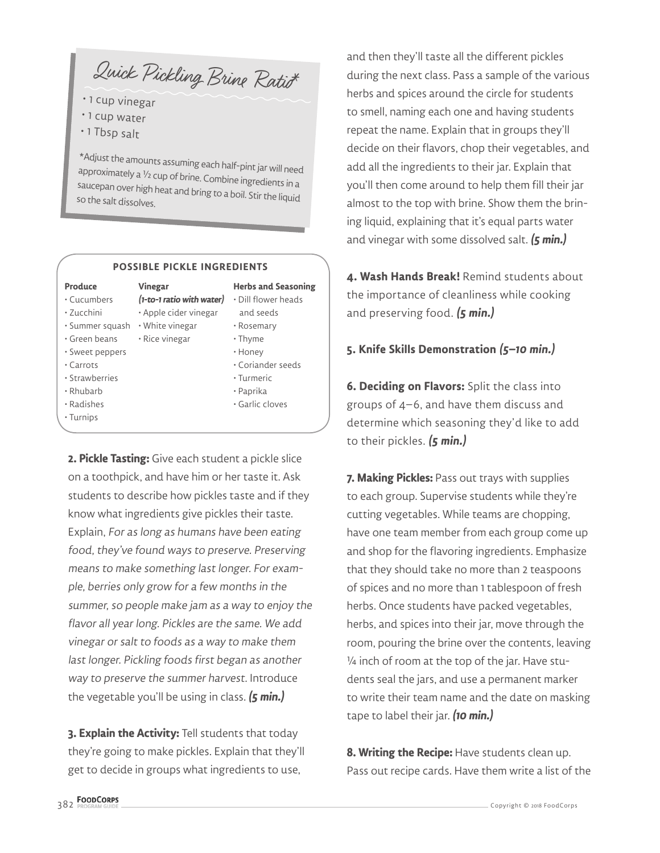Quick Pickling Brine Ratio<sup>\*</sup>

- 1 cup vinegar
- 1 cup water
- 1 Tbsp salt

\*Adjust the amounts assuming each half-pint jar will need<br>approximately a  $1/2$  cup of brine. Combine ingredients in a<br>saucepan over high heat and bring to a boil. Stir the liquid<br>so the salt dissolves.

#### **POSSIBLE PICKLE INGREDIENTS**

#### **Produce**

#### • Cucumbers **Vinegar**

- Zucchini
- Summer squash White vinegar
- Green beans
- Sweet peppers
- Carrots
- Strawberries
- Rhubarb
- Radishes
- Turnips
- **(1-to-1 ratio with water)** Dill flower heads • Apple cider vinegar
- - Rice vinegar
		-
- Honey • Coriander seeds

 and seeds • Rosemary • Thyme

**Herbs and Seasoning**

- Turmeric
- Paprika
- Garlic cloves

**2. Pickle Tasting:** Give each student a pickle slice on a toothpick, and have him or her taste it. Ask students to describe how pickles taste and if they know what ingredients give pickles their taste. Explain, For as long as humans have been eating food, they've found ways to preserve. Preserving means to make something last longer. For example, berries only grow for a few months in the summer, so people make jam as a way to enjoy the flavor all year long. Pickles are the same. We add vinegar or salt to foods as a way to make them last longer. Pickling foods first began as another way to preserve the summer harvest. Introduce the vegetable you'll be using in class. **(5 min.)**

**3. Explain the Activity:** Tell students that today they're going to make pickles. Explain that they'll get to decide in groups what ingredients to use,

and then they'll taste all the different pickles during the next class. Pass a sample of the various herbs and spices around the circle for students to smell, naming each one and having students repeat the name. Explain that in groups they'll decide on their flavors, chop their vegetables, and add all the ingredients to their jar. Explain that you'll then come around to help them fill their jar almost to the top with brine. Show them the brining liquid, explaining that it's equal parts water and vinegar with some dissolved salt. **(5 min.)**

**4. Wash Hands Break!** Remind students about the importance of cleanliness while cooking and preserving food. **(5 min.)**

### **5. Knife Skills Demonstration (5–10 min.)**

**6. Deciding on Flavors:** Split the class into groups of 4–6, and have them discuss and determine which seasoning they'd like to add to their pickles. **(5 min.)**

**7. Making Pickles:** Pass out trays with supplies to each group. Supervise students while they're cutting vegetables. While teams are chopping, have one team member from each group come up and shop for the flavoring ingredients. Emphasize that they should take no more than 2 teaspoons of spices and no more than 1 tablespoon of fresh herbs. Once students have packed vegetables, herbs, and spices into their jar, move through the room, pouring the brine over the contents, leaving ¼ inch of room at the top of the jar. Have students seal the jars, and use a permanent marker to write their team name and the date on masking tape to label their jar. **(10 min.)**

**8. Writing the Recipe:** Have students clean up. Pass out recipe cards. Have them write a list of the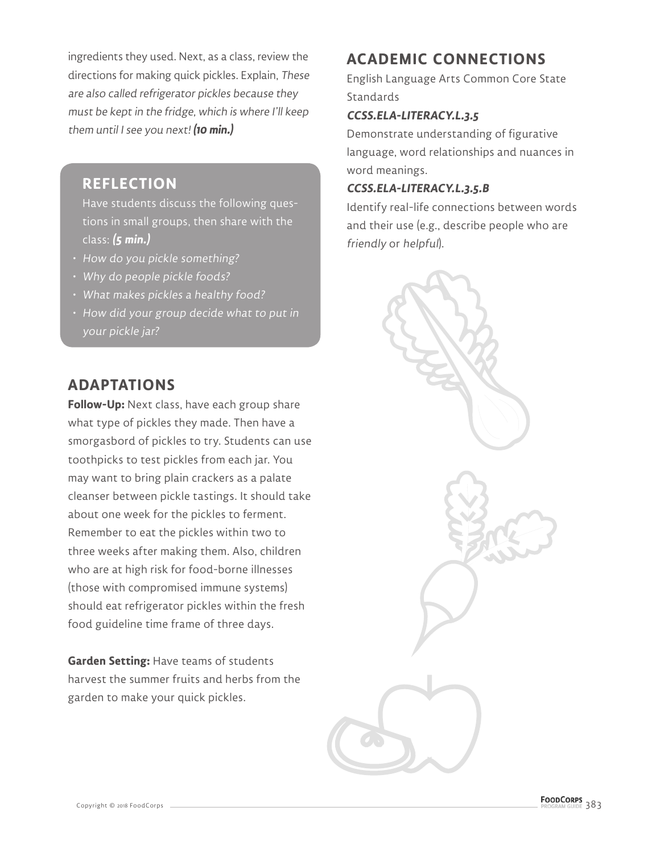ingredients they used. Next, as a class, review the directions for making quick pickles. Explain, These are also called refrigerator pickles because they must be kept in the fridge, which is where I'll keep them until I see you next! **(10 min.)**

### **REFLECTION**

Have students discuss the following questions in small groups, then share with the class: **(5 min.)**

- How do you pickle something?
- Why do people pickle foods?
- What makes pickles a healthy food?
- How did your group decide what to put in your pickle jar?

### **ADAPTATIONS**

**Follow-Up:** Next class, have each group share what type of pickles they made. Then have a smorgasbord of pickles to try. Students can use toothpicks to test pickles from each jar. You may want to bring plain crackers as a palate cleanser between pickle tastings. It should take about one week for the pickles to ferment. Remember to eat the pickles within two to three weeks after making them. Also, children who are at high risk for food-borne illnesses (those with compromised immune systems) should eat refrigerator pickles within the fresh food guideline time frame of three days.

**Garden Setting:** Have teams of students harvest the summer fruits and herbs from the garden to make your quick pickles.

### **ACADEMIC CONNECTIONS**

English Language Arts Common Core State **Standards** 

### **CCSS.ELA-LITERACY.L.3.5**

Demonstrate understanding of figurative language, word relationships and nuances in word meanings.

#### **CCSS.ELA-LITERACY.L.3.5.B**

Identify real-life connections between words and their use (e.g., describe people who are friendly or helpful).